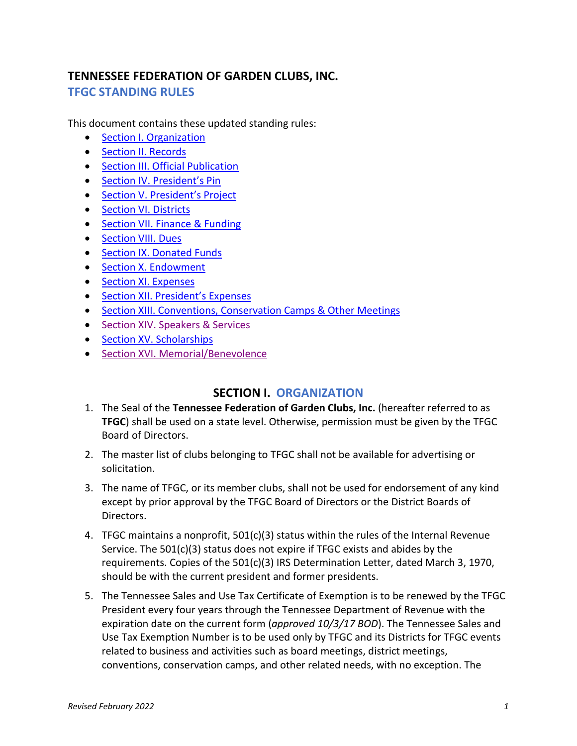# **TENNESSEE FEDERATION OF GARDEN CLUBS, INC. TFGC STANDING RULES**

This document contains these updated standing rules:

- [Section I. Organization](#page-0-0)
- [Section II. Records](#page-1-0)
- [Section III. Official Publication](#page-2-0)
- [Section IV. President's Pin](#page-2-1)
- [Section V. President's Project](#page-2-2)
- [Section VI. Districts](#page-2-3)
- [Section VII. Finance & Funding](#page-3-0)
- [Section VIII. Dues](#page-4-0)
- [Section IX. Donated Funds](#page-4-1)
- [Section X. Endowment](#page-5-0)
- [Section XI. Expenses](#page-6-0)
- [Section XII. President's Expenses](#page-6-1)
- [Section XIII. Conventions, Conservation Camps & Other Meetings](#page-6-2)
- [Section XIV. Speakers & Services](#page-7-0)
- [Section XV. Scholarships](#page-7-1)
- <span id="page-0-0"></span>• [Section XVI. Memorial/Benevolence](#page-7-2)

## **SECTION I. ORGANIZATION**

- 1. The Seal of the **Tennessee Federation of Garden Clubs, Inc.** (hereafter referred to as **TFGC**) shall be used on a state level. Otherwise, permission must be given by the TFGC Board of Directors.
- 2. The master list of clubs belonging to TFGC shall not be available for advertising or solicitation.
- 3. The name of TFGC, or its member clubs, shall not be used for endorsement of any kind except by prior approval by the TFGC Board of Directors or the District Boards of Directors.
- 4. TFGC maintains a nonprofit,  $501(c)(3)$  status within the rules of the Internal Revenue Service. The 501(c)(3) status does not expire if TFGC exists and abides by the requirements. Copies of the 501(c)(3) IRS Determination Letter, dated March 3, 1970, should be with the current president and former presidents.
- 5. The Tennessee Sales and Use Tax Certificate of Exemption is to be renewed by the TFGC President every four years through the Tennessee Department of Revenue with the expiration date on the current form (*approved 10/3/17 BOD*). The Tennessee Sales and Use Tax Exemption Number is to be used only by TFGC and its Districts for TFGC events related to business and activities such as board meetings, district meetings, conventions, conservation camps, and other related needs, with no exception. The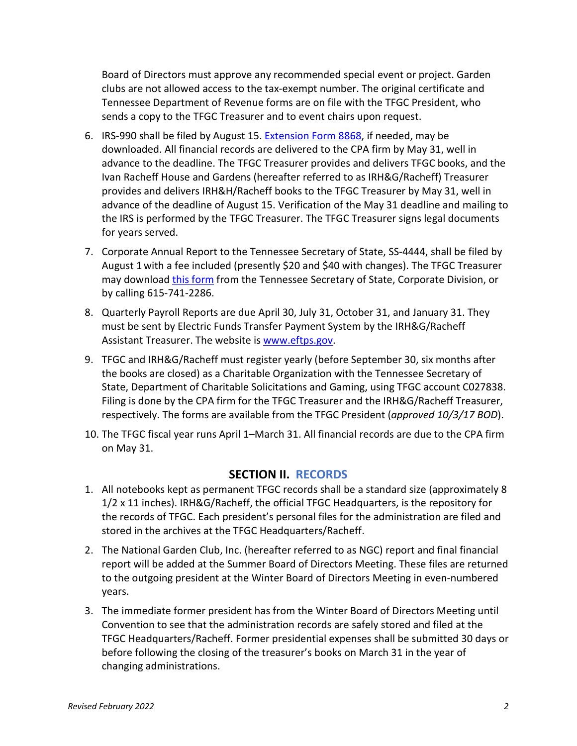Board of Directors must approve any recommended special event or project. Garden clubs are not allowed access to the tax-exempt number. The original certificate and Tennessee Department of Revenue forms are on file with the TFGC President, who sends a copy to the TFGC Treasurer and to event chairs upon request.

- 6. IRS-990 shall be filed by August 15. [Extension Form](https://www.irs.gov/pub/irs-pdf/f8868.pdf) 8868, if needed, may be downloaded. All financial records are delivered to the CPA firm by May 31, well in advance to the deadline. The TFGC Treasurer provides and delivers TFGC books, and the Ivan Racheff House and Gardens (hereafter referred to as IRH&G/Racheff) Treasurer provides and delivers IRH&H/Racheff books to the TFGC Treasurer by May 31, well in advance of the deadline of August 15. Verification of the May 31 deadline and mailing to the IRS is performed by the TFGC Treasurer. The TFGC Treasurer signs legal documents for years served.
- 7. Corporate Annual Report to the Tennessee Secretary of State, SS-4444, shall be filed by August 1 with a fee included (presently \$20 and \$40 with changes). The TFGC Treasurer may download *[this form](https://tnbear.tn.gov/ar/)* from the Tennessee Secretary of State, Corporate Division, or by calling 615-741-2286.
- 8. Quarterly Payroll Reports are due April 30, July 31, October 31, and January 31. They must be sent by Electric Funds Transfer Payment System by the IRH&G/Racheff Assistant Treasurer. The website is [www.eftps.gov.](http://www.eftps.gov/)
- 9. TFGC and IRH&G/Racheff must register yearly (before September 30, six months after the books are closed) as a Charitable Organization with the Tennessee Secretary of State, Department of Charitable Solicitations and Gaming, using TFGC account C027838. Filing is done by the CPA firm for the TFGC Treasurer and the IRH&G/Racheff Treasurer, respectively. The forms are available from the TFGC President (*approved 10/3/17 BOD*).
- 10. The TFGC fiscal year runs April 1–March 31. All financial records are due to the CPA firm on May 31.

### **SECTION II. RECORDS**

- <span id="page-1-0"></span>1. All notebooks kept as permanent TFGC records shall be a standard size (approximately 8 1/2 x 11 inches). IRH&G/Racheff, the official TFGC Headquarters, is the repository for the records of TFGC. Each president's personal files for the administration are filed and stored in the archives at the TFGC Headquarters/Racheff.
- 2. The National Garden Club, Inc. (hereafter referred to as NGC) report and final financial report will be added at the Summer Board of Directors Meeting. These files are returned to the outgoing president at the Winter Board of Directors Meeting in even-numbered years.
- 3. The immediate former president has from the Winter Board of Directors Meeting until Convention to see that the administration records are safely stored and filed at the TFGC Headquarters/Racheff. Former presidential expenses shall be submitted 30 days or before following the closing of the treasurer's books on March 31 in the year of changing administrations.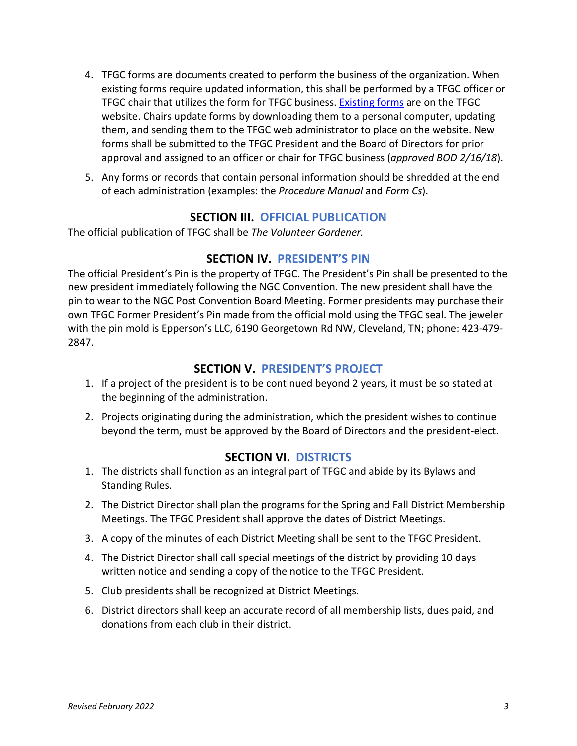- 4. TFGC forms are documents created to perform the business of the organization. When existing forms require updated information, this shall be performed by a TFGC officer or TFGC chair that utilizes the form for TFGC business. [Existing forms](https://www.tngardenclubs.org/forms/) are on the TFGC website. Chairs update forms by downloading them to a personal computer, updating them, and sending them to the TFGC web administrator to place on the website. New forms shall be submitted to the TFGC President and the Board of Directors for prior approval and assigned to an officer or chair for TFGC business (*approved BOD 2/16/18*).
- 5. Any forms or records that contain personal information should be shredded at the end of each administration (examples: the *Procedure Manual* and *Form Cs*).

### **SECTION III. OFFICIAL PUBLICATION**

<span id="page-2-0"></span>The official publication of TFGC shall be *The Volunteer Gardener.*

### **SECTION IV. PRESIDENT'S PIN**

<span id="page-2-1"></span>The official President's Pin is the property of TFGC. The President's Pin shall be presented to the new president immediately following the NGC Convention. The new president shall have the pin to wear to the NGC Post Convention Board Meeting. Former presidents may purchase their own TFGC Former President's Pin made from the official mold using the TFGC seal. The jeweler with the pin mold is Epperson's LLC, 6190 Georgetown Rd NW, Cleveland, TN; phone: 423-479- 2847.

## **SECTION V. PRESIDENT'S PROJECT**

- <span id="page-2-2"></span>1. If a project of the president is to be continued beyond 2 years, it must be so stated at the beginning of the administration.
- 2. Projects originating during the administration, which the president wishes to continue beyond the term, must be approved by the Board of Directors and the president-elect.

### **SECTION VI. DISTRICTS**

- <span id="page-2-3"></span>1. The districts shall function as an integral part of TFGC and abide by its Bylaws and Standing Rules.
- 2. The District Director shall plan the programs for the Spring and Fall District Membership Meetings. The TFGC President shall approve the dates of District Meetings.
- 3. A copy of the minutes of each District Meeting shall be sent to the TFGC President.
- 4. The District Director shall call special meetings of the district by providing 10 days written notice and sending a copy of the notice to the TFGC President.
- 5. Club presidents shall be recognized at District Meetings.
- 6. District directors shall keep an accurate record of all membership lists, dues paid, and donations from each club in their district.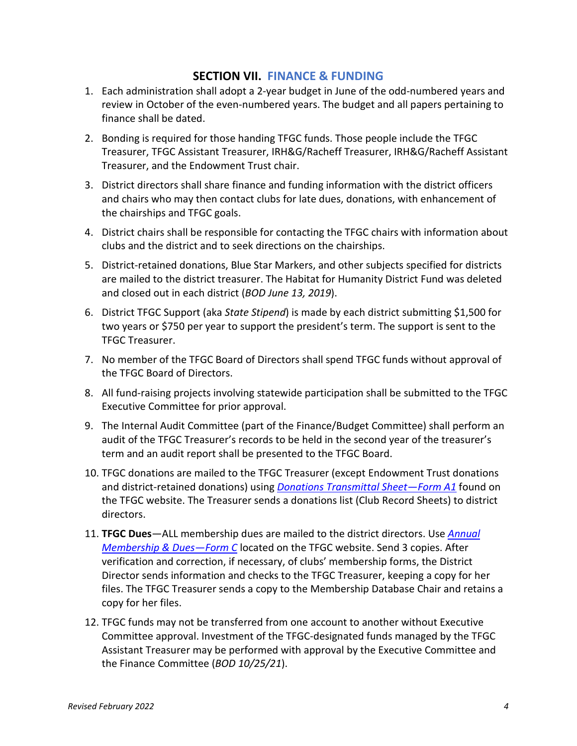### **SECTION VII. FINANCE & FUNDING**

- <span id="page-3-0"></span>1. Each administration shall adopt a 2-year budget in June of the odd-numbered years and review in October of the even-numbered years. The budget and all papers pertaining to finance shall be dated.
- 2. Bonding is required for those handing TFGC funds. Those people include the TFGC Treasurer, TFGC Assistant Treasurer, IRH&G/Racheff Treasurer, IRH&G/Racheff Assistant Treasurer, and the Endowment Trust chair.
- 3. District directors shall share finance and funding information with the district officers and chairs who may then contact clubs for late dues, donations, with enhancement of the chairships and TFGC goals.
- 4. District chairs shall be responsible for contacting the TFGC chairs with information about clubs and the district and to seek directions on the chairships.
- 5. District-retained donations, Blue Star Markers, and other subjects specified for districts are mailed to the district treasurer. The Habitat for Humanity District Fund was deleted and closed out in each district (*BOD June 13, 2019*).
- 6. District TFGC Support (aka *State Stipend*) is made by each district submitting \$1,500 for two years or \$750 per year to support the president's term. The support is sent to the TFGC Treasurer.
- 7. No member of the TFGC Board of Directors shall spend TFGC funds without approval of the TFGC Board of Directors.
- 8. All fund-raising projects involving statewide participation shall be submitted to the TFGC Executive Committee for prior approval.
- 9. The Internal Audit Committee (part of the Finance/Budget Committee) shall perform an audit of the TFGC Treasurer's records to be held in the second year of the treasurer's term and an audit report shall be presented to the TFGC Board.
- 10. TFGC donations are mailed to the TFGC Treasurer (except Endowment Trust donations and district-retained donations) using *Donations [Transmittal Sheet—Form A1](https://www.tngardenclubs.org/wp-content/uploads/2022/01/Form-A1-Donations-Transmittal-Sheet-1.pdf)* found on the TFGC website. The Treasurer sends a donations list (Club Record Sheets) to district directors.
- 11. **TFGC Dues**—ALL membership dues are mailed to the district directors. Use *[Annual](https://www.tngardenclubs.org/wp-content/uploads/2021/03/Form-C-New-Membership-Dues.pdf)  [Membership & Dues—Form C](https://www.tngardenclubs.org/wp-content/uploads/2021/03/Form-C-New-Membership-Dues.pdf)* located on the TFGC website. Send 3 copies. After verification and correction, if necessary, of clubs' membership forms, the District Director sends information and checks to the TFGC Treasurer, keeping a copy for her files. The TFGC Treasurer sends a copy to the Membership Database Chair and retains a copy for her files.
- 12. TFGC funds may not be transferred from one account to another without Executive Committee approval. Investment of the TFGC-designated funds managed by the TFGC Assistant Treasurer may be performed with approval by the Executive Committee and the Finance Committee (*BOD 10/25/21*).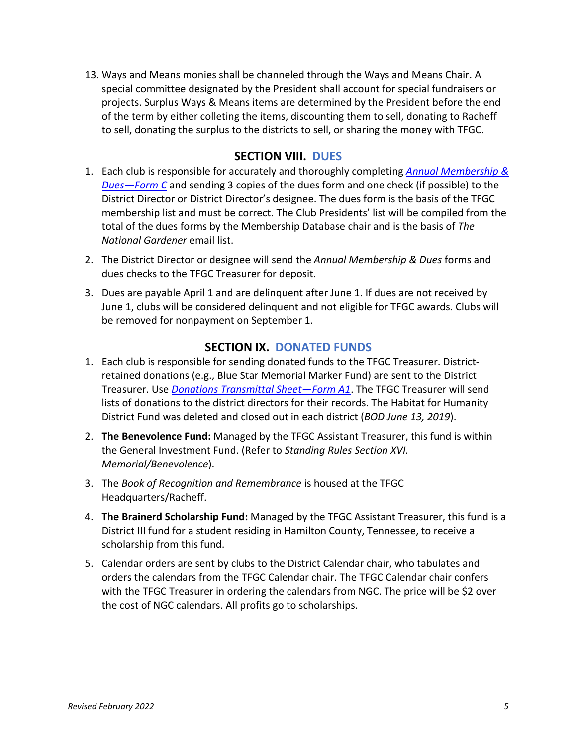13. Ways and Means monies shall be channeled through the Ways and Means Chair. A special committee designated by the President shall account for special fundraisers or projects. Surplus Ways & Means items are determined by the President before the end of the term by either colleting the items, discounting them to sell, donating to Racheff to sell, donating the surplus to the districts to sell, or sharing the money with TFGC.

## **SECTION VIII. DUES**

- <span id="page-4-0"></span>1. Each club is responsible for accurately and thoroughly completing *[Annual Membership &](https://www.tngardenclubs.org/wp-content/uploads/2021/03/Form-C-New-Membership-Dues.pdf)  [Dues—Form C](https://www.tngardenclubs.org/wp-content/uploads/2021/03/Form-C-New-Membership-Dues.pdf)* and sending 3 copies of the dues form and one check (if possible) to the District Director or District Director's designee. The dues form is the basis of the TFGC membership list and must be correct. The Club Presidents' list will be compiled from the total of the dues forms by the Membership Database chair and is the basis of *The National Gardener* email list.
- 2. The District Director or designee will send the *Annual Membership & Dues* forms and dues checks to the TFGC Treasurer for deposit.
- 3. Dues are payable April 1 and are delinquent after June 1. If dues are not received by June 1, clubs will be considered delinquent and not eligible for TFGC awards. Clubs will be removed for nonpayment on September 1.

### **SECTION IX. DONATED FUNDS**

- <span id="page-4-1"></span>1. Each club is responsible for sending donated funds to the TFGC Treasurer. Districtretained donations (e.g., Blue Star Memorial Marker Fund) are sent to the District Treasurer. Use *[Donations Transmittal Sheet—Form A1](https://www.tngardenclubs.org/wp-content/uploads/2022/01/Form-A1-Donations-Transmittal-Sheet-1.pdf)*. The TFGC Treasurer will send lists of donations to the district directors for their records. The Habitat for Humanity District Fund was deleted and closed out in each district (*BOD June 13, 2019*).
- 2. **The Benevolence Fund:** Managed by the TFGC Assistant Treasurer, this fund is within the General Investment Fund. (Refer to *Standing Rules Section XVI. Memorial/Benevolence*).
- 3. The *Book of Recognition and Remembrance* is housed at the TFGC Headquarters/Racheff.
- 4. **The Brainerd Scholarship Fund:** Managed by the TFGC Assistant Treasurer, this fund is a District III fund for a student residing in Hamilton County, Tennessee, to receive a scholarship from this fund.
- 5. Calendar orders are sent by clubs to the District Calendar chair, who tabulates and orders the calendars from the TFGC Calendar chair. The TFGC Calendar chair confers with the TFGC Treasurer in ordering the calendars from NGC. The price will be \$2 over the cost of NGC calendars. All profits go to scholarships.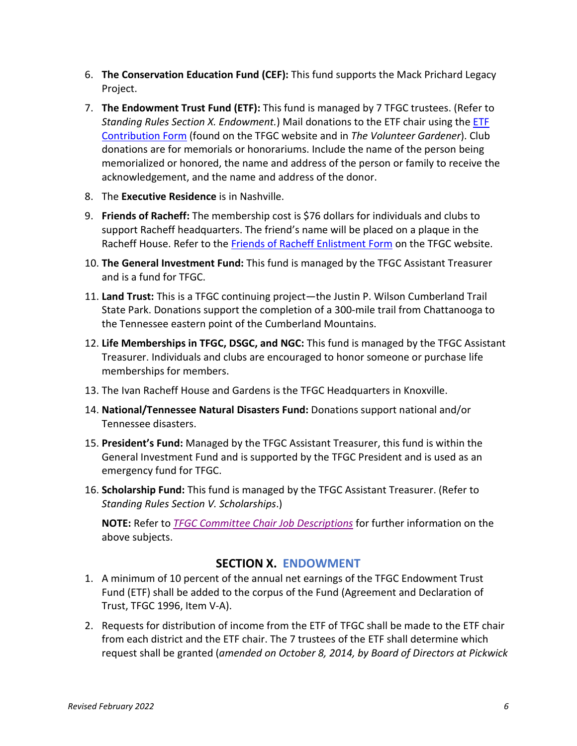- 6. **The Conservation Education Fund (CEF):** This fund supports the Mack Prichard Legacy Project.
- 7. **The Endowment Trust Fund (ETF):** This fund is managed by 7 TFGC trustees. (Refer to *Standing Rules Section X. Endowment.*) Mail donations to the ETF chair using the [ETF](https://www.tngardenclubs.org/wp-content/uploads/2022/01/ETF-Contribution-Form-1.pdf)  [Contribution Form](https://www.tngardenclubs.org/wp-content/uploads/2022/01/ETF-Contribution-Form-1.pdf) (found on the TFGC website and in *The Volunteer Gardener*). Club donations are for memorials or honorariums. Include the name of the person being memorialized or honored, the name and address of the person or family to receive the acknowledgement, and the name and address of the donor.
- 8. The **Executive Residence** is in Nashville.
- 9. **Friends of Racheff:** The membership cost is \$76 dollars for individuals and clubs to support Racheff headquarters. The friend's name will be placed on a plaque in the Racheff House. Refer to the [Friends of Racheff Enlistment Form](https://www.tngardenclubs.org/wp-content/uploads/2021/03/Friends-of-Racheff-Enlistment-Form-1.pdf) on the TFGC website.
- 10. **The General Investment Fund:** This fund is managed by the TFGC Assistant Treasurer and is a fund for TFGC.
- 11. **Land Trust:** This is a TFGC continuing project—the Justin P. Wilson Cumberland Trail State Park. Donations support the completion of a 300-mile trail from Chattanooga to the Tennessee eastern point of the Cumberland Mountains.
- 12. **Life Memberships in TFGC, DSGC, and NGC:** This fund is managed by the TFGC Assistant Treasurer. Individuals and clubs are encouraged to honor someone or purchase life memberships for members.
- 13. The Ivan Racheff House and Gardens is the TFGC Headquarters in Knoxville.
- 14. **National/Tennessee Natural Disasters Fund:** Donations support national and/or Tennessee disasters.
- 15. **President's Fund:** Managed by the TFGC Assistant Treasurer, this fund is within the General Investment Fund and is supported by the TFGC President and is used as an emergency fund for TFGC.
- 16. **Scholarship Fund:** This fund is managed by the TFGC Assistant Treasurer. (Refer to *Standing Rules Section V. Scholarships*.)

**NOTE:** Refer to *[TFGC Committee Chair](https://www.tngardenclubs.org/wp-content/uploads/2021/10/TGC-Committee-Chair-Duties.pdf) Job Descriptions* for further information on the above subjects.

### **SECTION X. ENDOWMENT**

- <span id="page-5-0"></span>1. A minimum of 10 percent of the annual net earnings of the TFGC Endowment Trust Fund (ETF) shall be added to the corpus of the Fund (Agreement and Declaration of Trust, TFGC 1996, Item V-A).
- 2. Requests for distribution of income from the ETF of TFGC shall be made to the ETF chair from each district and the ETF chair. The 7 trustees of the ETF shall determine which request shall be granted (*amended on October 8, 2014, by Board of Directors at Pickwick*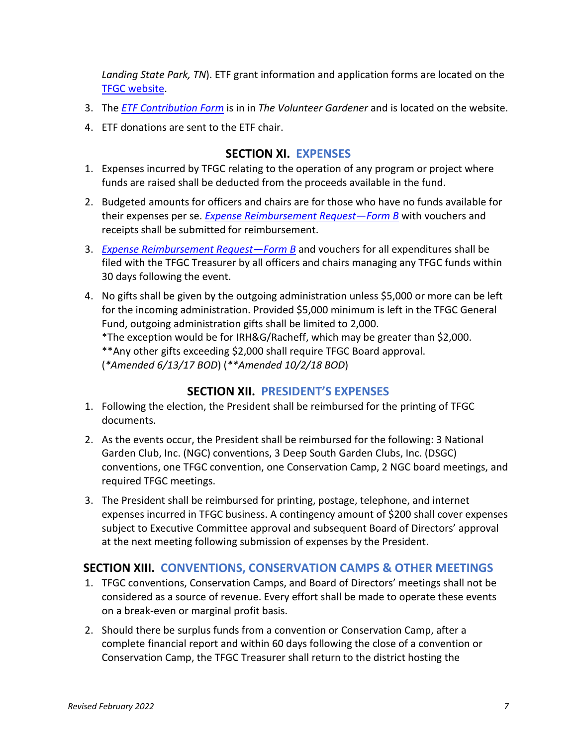*Landing State Park, TN*). ETF grant information and application forms are located on the TFGC website.

- 3. The *ETF Contribution Form* is in in *The Volunteer Gardener* and is located on the website.
- <span id="page-6-0"></span>4. ETF donations are sent to the ETF chair.

## **SECTION XI. EXPENSES**

- 1. Expenses incurred by TFGC relating to the operation of any program or project where funds are raised shall be deducted from the proceeds available in the fund.
- 2. Budgeted amounts for officers and chairs are for those who have no funds available for their expenses per se. *Expense Reimbursement Request—Form B* with vouchers and receipts shall be submitted for reimbursement.
- 3. *Expense Reimbursement Request—Form B* and vouchers for all expenditures shall be filed with the TFGC Treasurer by all officers and chairs managing any TFGC funds within 30 days following the event.
- 4. No gifts shall be given by the outgoing administration unless \$5,000 or more can be left for the incoming administration. Provided \$5,000 minimum is left in the TFGC General Fund, outgoing administration gifts shall be limited to 2,000. \*The exception would be for IRH&G/Racheff, which may be greater than \$2,000.

\*\*Any other gifts exceeding \$2,000 shall require TFGC Board approval.

(*\*Amended 6/13/17 BOD*) (*\*\*Amended 10/2/18 BOD*)

## **SECTION XII. PRESIDENT'S EXPENSES**

- <span id="page-6-1"></span>1. Following the election, the President shall be reimbursed for the printing of TFGC documents.
- 2. As the events occur, the President shall be reimbursed for the following: 3 National Garden Club, Inc. (NGC) conventions, 3 Deep South Garden Clubs, Inc. (DSGC) conventions, one TFGC convention, one Conservation Camp, 2 NGC board meetings, and required TFGC meetings.
- 3. The President shall be reimbursed for printing, postage, telephone, and internet expenses incurred in TFGC business. A contingency amount of \$200 shall cover expenses subject to Executive Committee approval and subsequent Board of Directors' approval at the next meeting following submission of expenses by the President.

# <span id="page-6-2"></span>**SECTION XIII. CONVENTIONS, CONSERVATION CAMPS & OTHER MEETINGS**

- 1. TFGC conventions, Conservation Camps, and Board of Directors' meetings shall not be considered as a source of revenue. Every effort shall be made to operate these events on a break-even or marginal profit basis.
- 2. Should there be surplus funds from a convention or Conservation Camp, after a complete financial report and within 60 days following the close of a convention or Conservation Camp, the TFGC Treasurer shall return to the district hosting the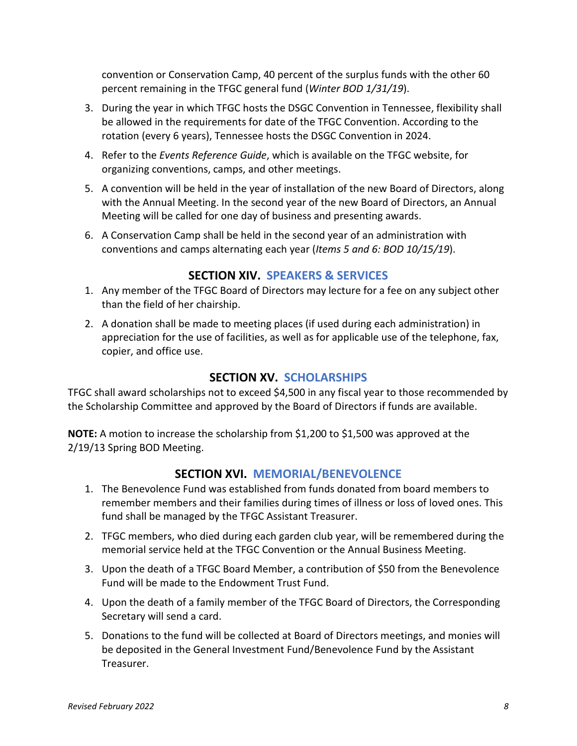convention or Conservation Camp, 40 percent of the surplus funds with the other 60 percent remaining in the TFGC general fund (*Winter BOD 1/31/19*).

- 3. During the year in which TFGC hosts the DSGC Convention in Tennessee, flexibility shall be allowed in the requirements for date of the TFGC Convention. According to the rotation (every 6 years), Tennessee hosts the DSGC Convention in 2024.
- 4. Refer to the *Events Reference Guide*, which is available on the TFGC website, for organizing conventions, camps, and other meetings.
- 5. A convention will be held in the year of installation of the new Board of Directors, along with the Annual Meeting. In the second year of the new Board of Directors, an Annual Meeting will be called for one day of business and presenting awards.
- 6. A Conservation Camp shall be held in the second year of an administration with conventions and camps alternating each year (*Items 5 and 6: BOD 10/15/19*).

# **SECTION XIV. SPEAKERS & SERVICES**

- <span id="page-7-0"></span>1. Any member of the TFGC Board of Directors may lecture for a fee on any subject other than the field of her chairship.
- 2. A donation shall be made to meeting places (if used during each administration) in appreciation for the use of facilities, as well as for applicable use of the telephone, fax, copier, and office use.

# **SECTION XV. SCHOLARSHIPS**

<span id="page-7-1"></span>TFGC shall award scholarships not to exceed \$4,500 in any fiscal year to those recommended by the Scholarship Committee and approved by the Board of Directors if funds are available.

<span id="page-7-2"></span>**NOTE:** A motion to increase the scholarship from \$1,200 to \$1,500 was approved at the 2/19/13 Spring BOD Meeting.

# **SECTION XVI. MEMORIAL/BENEVOLENCE**

- 1. The Benevolence Fund was established from funds donated from board members to remember members and their families during times of illness or loss of loved ones. This fund shall be managed by the TFGC Assistant Treasurer.
- 2. TFGC members, who died during each garden club year, will be remembered during the memorial service held at the TFGC Convention or the Annual Business Meeting.
- 3. Upon the death of a TFGC Board Member, a contribution of \$50 from the Benevolence Fund will be made to the Endowment Trust Fund.
- 4. Upon the death of a family member of the TFGC Board of Directors, the Corresponding Secretary will send a card.
- 5. Donations to the fund will be collected at Board of Directors meetings, and monies will be deposited in the General Investment Fund/Benevolence Fund by the Assistant Treasurer.